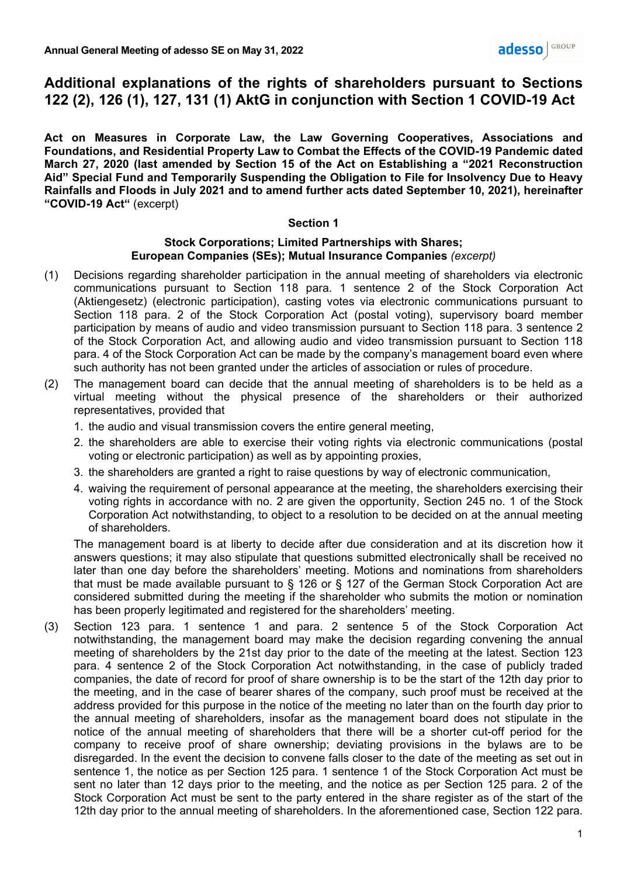# **Additional explanations of the rights of shareholders pursuant to Sections 122 (2), 126 (1), 127, 131 (1) AktG in conjunction with Section 1 COVID-19 Act**

**Act on Measures in Corporate Law, the Law Governing Cooperatives, Associations and Foundations, and Residential Property Law to Combat the Effects of the COVID-19 Pandemic dated March 27, 2020 (last amended by Section 15 of the Act on Establishing a "2021 Reconstruction Aid" Special Fund and Temporarily Suspending the Obligation to File for Insolvency Due to Heavy Rainfalls and Floods in July 2021 and to amend further acts dated September 10, 2021), hereinafter "COVID-19 Act"** (excerpt)

#### **Section 1**

#### **Stock Corporations; Limited Partnerships with Shares; European Companies (SEs); Mutual Insurance Companies** *(excerpt)*

- (1) Decisions regarding shareholder participation in the annual meeting of shareholders via electronic communications pursuant to Section 118 para. 1 sentence 2 of the Stock Corporation Act (Aktiengesetz) (electronic participation), casting votes via electronic communications pursuant to Section 118 para. 2 of the Stock Corporation Act (postal voting), supervisory board member participation by means of audio and video transmission pursuant to Section 118 para. 3 sentence 2 of the Stock Corporation Act, and allowing audio and video transmission pursuant to Section 118 para. 4 of the Stock Corporation Act can be made by the company's management board even where such authority has not been granted under the articles of association or rules of procedure.
- (2) The management board can decide that the annual meeting of shareholders is to be held as a virtual meeting without the physical presence of the shareholders or their authorized representatives, provided that
	- 1. the audio and visual transmission covers the entire general meeting,
	- 2. the shareholders are able to exercise their voting rights via electronic communications (postal voting or electronic participation) as well as by appointing proxies,
	- 3. the shareholders are granted a right to raise questions by way of electronic communication,
	- 4. waiving the requirement of personal appearance at the meeting, the shareholders exercising their voting rights in accordance with no. 2 are given the opportunity, Section 245 no. 1 of the Stock Corporation Act notwithstanding, to object to a resolution to be decided on at the annual meeting of shareholders.

The management board is at liberty to decide after due consideration and at its discretion how it answers questions; it may also stipulate that questions submitted electronically shall be received no later than one day before the shareholders' meeting. Motions and nominations from shareholders that must be made available pursuant to § 126 or § 127 of the German Stock Corporation Act are considered submitted during the meeting if the shareholder who submits the motion or nomination has been properly legitimated and registered for the shareholders' meeting.

(3) Section 123 para. 1 sentence 1 and para. 2 sentence 5 of the Stock Corporation Act notwithstanding, the management board may make the decision regarding convening the annual meeting of shareholders by the 21st day prior to the date of the meeting at the latest. Section 123 para. 4 sentence 2 of the Stock Corporation Act notwithstanding, in the case of publicly traded companies, the date of record for proof of share ownership is to be the start of the 12th day prior to the meeting, and in the case of bearer shares of the company, such proof must be received at the address provided for this purpose in the notice of the meeting no later than on the fourth day prior to the annual meeting of shareholders, insofar as the management board does not stipulate in the notice of the annual meeting of shareholders that there will be a shorter cut-off period for the company to receive proof of share ownership; deviating provisions in the bylaws are to be disregarded. In the event the decision to convene falls closer to the date of the meeting as set out in sentence 1, the notice as per Section 125 para. 1 sentence 1 of the Stock Corporation Act must be sent no later than 12 days prior to the meeting, and the notice as per Section 125 para. 2 of the Stock Corporation Act must be sent to the party entered in the share register as of the start of the 12th day prior to the annual meeting of shareholders. In the aforementioned case, Section 122 para.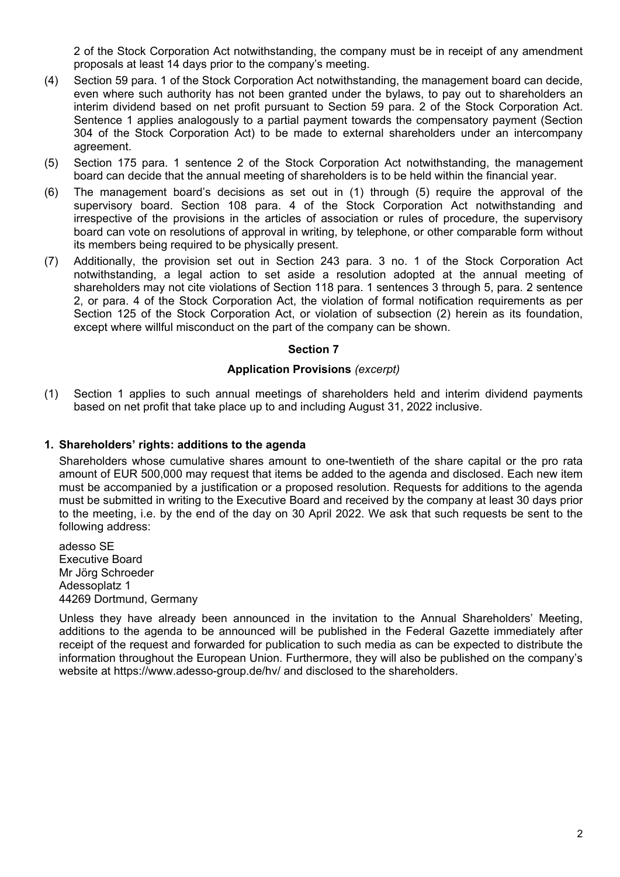2 of the Stock Corporation Act notwithstanding, the company must be in receipt of any amendment proposals at least 14 days prior to the company's meeting.

- (4) Section 59 para. 1 of the Stock Corporation Act notwithstanding, the management board can decide, even where such authority has not been granted under the bylaws, to pay out to shareholders an interim dividend based on net profit pursuant to Section 59 para. 2 of the Stock Corporation Act. Sentence 1 applies analogously to a partial payment towards the compensatory payment (Section 304 of the Stock Corporation Act) to be made to external shareholders under an intercompany agreement.
- (5) Section 175 para. 1 sentence 2 of the Stock Corporation Act notwithstanding, the management board can decide that the annual meeting of shareholders is to be held within the financial year.
- (6) The management board's decisions as set out in (1) through (5) require the approval of the supervisory board. Section 108 para. 4 of the Stock Corporation Act notwithstanding and irrespective of the provisions in the articles of association or rules of procedure, the supervisory board can vote on resolutions of approval in writing, by telephone, or other comparable form without its members being required to be physically present.
- (7) Additionally, the provision set out in Section 243 para. 3 no. 1 of the Stock Corporation Act notwithstanding, a legal action to set aside a resolution adopted at the annual meeting of shareholders may not cite violations of Section 118 para. 1 sentences 3 through 5, para. 2 sentence 2, or para. 4 of the Stock Corporation Act, the violation of formal notification requirements as per Section 125 of the Stock Corporation Act, or violation of subsection (2) herein as its foundation, except where willful misconduct on the part of the company can be shown.

# **Section 7**

#### **Application Provisions** *(excerpt)*

(1) Section 1 applies to such annual meetings of shareholders held and interim dividend payments based on net profit that take place up to and including August 31, 2022 inclusive.

### **1. Shareholders' rights: additions to the agenda**

Shareholders whose cumulative shares amount to one-twentieth of the share capital or the pro rata amount of EUR 500,000 may request that items be added to the agenda and disclosed. Each new item must be accompanied by a justification or a proposed resolution. Requests for additions to the agenda must be submitted in writing to the Executive Board and received by the company at least 30 days prior to the meeting, i.e. by the end of the day on 30 April 2022. We ask that such requests be sent to the following address:

adesso SE Executive Board Mr Jörg Schroeder Adessoplatz 1 44269 Dortmund, Germany

Unless they have already been announced in the invitation to the Annual Shareholders' Meeting, additions to the agenda to be announced will be published in the Federal Gazette immediately after receipt of the request and forwarded for publication to such media as can be expected to distribute the information throughout the European Union. Furthermore, they will also be published on the company's website at https://www.adesso-group.de/hv/ and disclosed to the shareholders.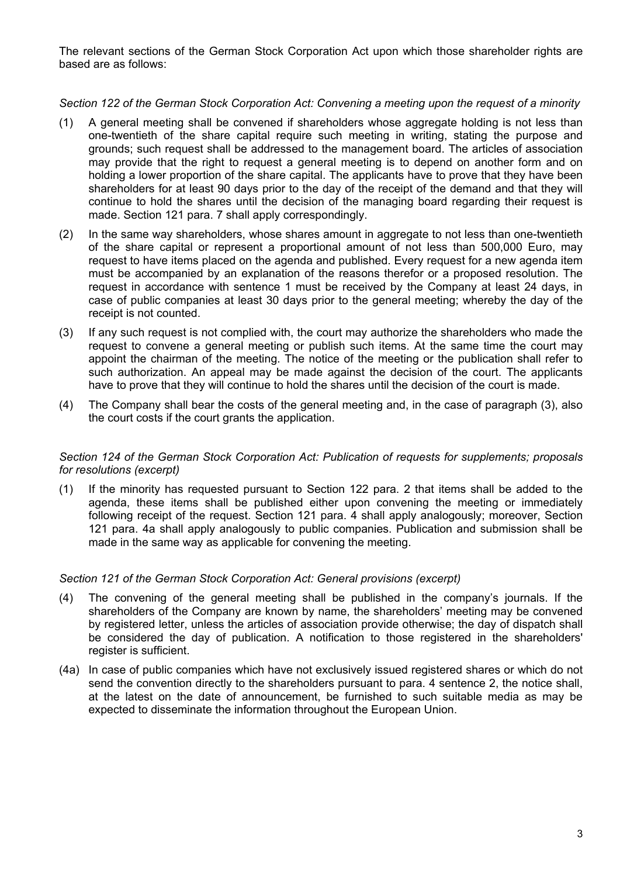The relevant sections of the German Stock Corporation Act upon which those shareholder rights are based are as follows:

# *Section 122 of the German Stock Corporation Act: Convening a meeting upon the request of a minority*

- (1) A general meeting shall be convened if shareholders whose aggregate holding is not less than one-twentieth of the share capital require such meeting in writing, stating the purpose and grounds; such request shall be addressed to the management board. The articles of association may provide that the right to request a general meeting is to depend on another form and on holding a lower proportion of the share capital. The applicants have to prove that they have been shareholders for at least 90 days prior to the day of the receipt of the demand and that they will continue to hold the shares until the decision of the managing board regarding their request is made. Section 121 para. 7 shall apply correspondingly.
- (2) In the same way shareholders, whose shares amount in aggregate to not less than one-twentieth of the share capital or represent a proportional amount of not less than 500,000 Euro, may request to have items placed on the agenda and published. Every request for a new agenda item must be accompanied by an explanation of the reasons therefor or a proposed resolution. The request in accordance with sentence 1 must be received by the Company at least 24 days, in case of public companies at least 30 days prior to the general meeting; whereby the day of the receipt is not counted.
- (3) If any such request is not complied with, the court may authorize the shareholders who made the request to convene a general meeting or publish such items. At the same time the court may appoint the chairman of the meeting. The notice of the meeting or the publication shall refer to such authorization. An appeal may be made against the decision of the court. The applicants have to prove that they will continue to hold the shares until the decision of the court is made.
- (4) The Company shall bear the costs of the general meeting and, in the case of paragraph (3), also the court costs if the court grants the application.

# *Section 124 of the German Stock Corporation Act: Publication of requests for supplements; proposals for resolutions (excerpt)*

(1) If the minority has requested pursuant to Section 122 para. 2 that items shall be added to the agenda, these items shall be published either upon convening the meeting or immediately following receipt of the request. Section 121 para. 4 shall apply analogously; moreover, Section 121 para. 4a shall apply analogously to public companies. Publication and submission shall be made in the same way as applicable for convening the meeting.

# *Section 121 of the German Stock Corporation Act: General provisions (excerpt)*

- (4) The convening of the general meeting shall be published in the company's journals. If the shareholders of the Company are known by name, the shareholders' meeting may be convened by registered letter, unless the articles of association provide otherwise; the day of dispatch shall be considered the day of publication. A notification to those registered in the shareholders' register is sufficient.
- (4a) In case of public companies which have not exclusively issued registered shares or which do not send the convention directly to the shareholders pursuant to para. 4 sentence 2, the notice shall, at the latest on the date of announcement, be furnished to such suitable media as may be expected to disseminate the information throughout the European Union.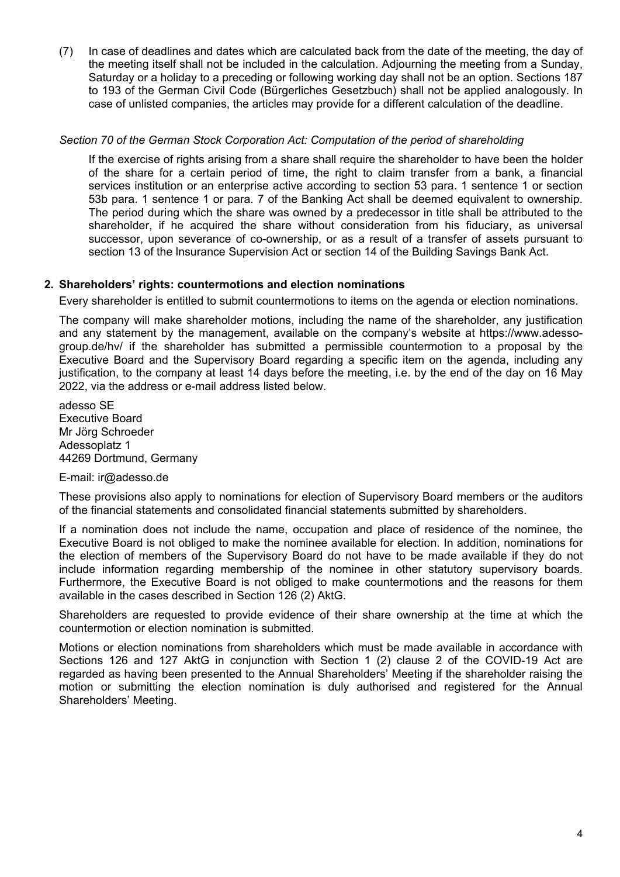(7) In case of deadlines and dates which are calculated back from the date of the meeting, the day of the meeting itself shall not be included in the calculation. Adjourning the meeting from a Sunday, Saturday or a holiday to a preceding or following working day shall not be an option. Sections 187 to 193 of the German Civil Code (Bürgerliches Gesetzbuch) shall not be applied analogously. In case of unlisted companies, the articles may provide for a different calculation of the deadline.

# *Section 70 of the German Stock Corporation Act: Computation of the period of shareholding*

If the exercise of rights arising from a share shall require the shareholder to have been the holder of the share for a certain period of time, the right to claim transfer from a bank, a financial services institution or an enterprise active according to section 53 para. 1 sentence 1 or section 53b para. 1 sentence 1 or para. 7 of the Banking Act shall be deemed equivalent to ownership. The period during which the share was owned by a predecessor in title shall be attributed to the shareholder, if he acquired the share without consideration from his fiduciary, as universal successor, upon severance of co-ownership, or as a result of a transfer of assets pursuant to section 13 of the lnsurance Supervision Act or section 14 of the Building Savings Bank Act.

#### **2. Shareholders' rights: countermotions and election nominations**

Every shareholder is entitled to submit countermotions to items on the agenda or election nominations.

The company will make shareholder motions, including the name of the shareholder, any justification and any statement by the management, available on the company's website at https://www.adessogroup.de/hv/ if the shareholder has submitted a permissible countermotion to a proposal by the Executive Board and the Supervisory Board regarding a specific item on the agenda, including any justification, to the company at least 14 days before the meeting, i.e. by the end of the day on 16 May 2022, via the address or e-mail address listed below.

adesso SE Executive Board Mr Jörg Schroeder Adessoplatz 1 44269 Dortmund, Germany

#### E-mail: ir@adesso.de

These provisions also apply to nominations for election of Supervisory Board members or the auditors of the financial statements and consolidated financial statements submitted by shareholders.

If a nomination does not include the name, occupation and place of residence of the nominee, the Executive Board is not obliged to make the nominee available for election. In addition, nominations for the election of members of the Supervisory Board do not have to be made available if they do not include information regarding membership of the nominee in other statutory supervisory boards. Furthermore, the Executive Board is not obliged to make countermotions and the reasons for them available in the cases described in Section 126 (2) AktG.

Shareholders are requested to provide evidence of their share ownership at the time at which the countermotion or election nomination is submitted.

Motions or election nominations from shareholders which must be made available in accordance with Sections 126 and 127 AktG in conjunction with Section 1 (2) clause 2 of the COVID-19 Act are regarded as having been presented to the Annual Shareholders' Meeting if the shareholder raising the motion or submitting the election nomination is duly authorised and registered for the Annual Shareholders' Meeting.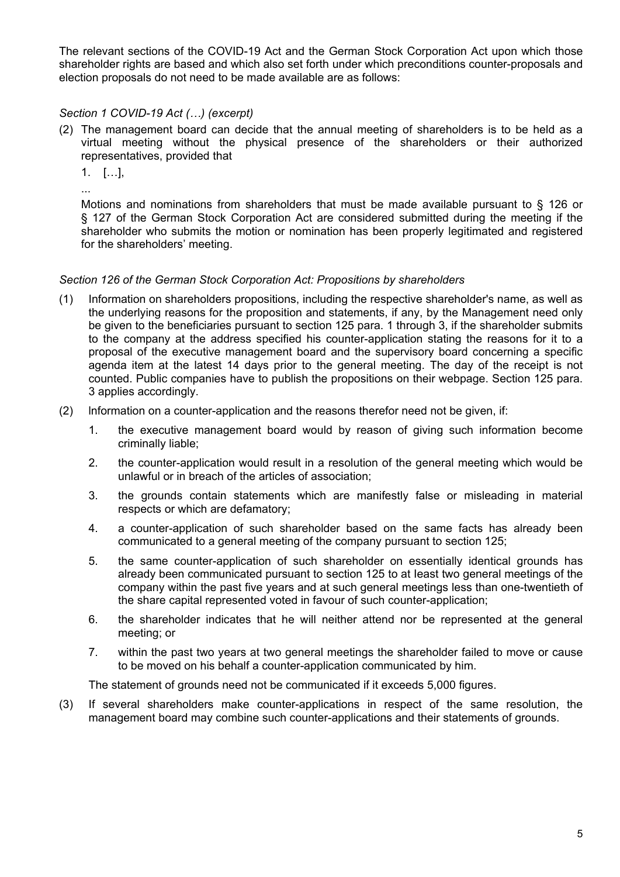The relevant sections of the COVID-19 Act and the German Stock Corporation Act upon which those shareholder rights are based and which also set forth under which preconditions counter-proposals and election proposals do not need to be made available are as follows:

# *Section 1 COVID-19 Act (…) (excerpt)*

- (2) The management board can decide that the annual meeting of shareholders is to be held as a virtual meeting without the physical presence of the shareholders or their authorized representatives, provided that
	- 1. […],

...

Motions and nominations from shareholders that must be made available pursuant to § 126 or § 127 of the German Stock Corporation Act are considered submitted during the meeting if the shareholder who submits the motion or nomination has been properly legitimated and registered for the shareholders' meeting.

# *Section 126 of the German Stock Corporation Act: Propositions by shareholders*

- (1) Information on shareholders propositions, including the respective shareholder's name, as well as the underlying reasons for the proposition and statements, if any, by the Management need only be given to the beneficiaries pursuant to section 125 para. 1 through 3, if the shareholder submits to the company at the address specified his counter-application stating the reasons for it to a proposal of the executive management board and the supervisory board concerning a specific agenda item at the latest 14 days prior to the general meeting. The day of the receipt is not counted. Public companies have to publish the propositions on their webpage. Section 125 para. 3 applies accordingly.
- (2) lnformation on a counter-application and the reasons therefor need not be given, if:
	- 1. the executive management board would by reason of giving such information become criminally liable;
	- 2. the counter-application would result in a resolution of the general meeting which would be unlawful or in breach of the articles of association;
	- 3. the grounds contain statements which are manifestly false or misleading in material respects or which are defamatory;
	- 4. a counter-application of such shareholder based on the same facts has already been communicated to a general meeting of the company pursuant to section 125;
	- 5. the same counter-application of such shareholder on essentially identical grounds has already been communicated pursuant to section 125 to at Ieast two general meetings of the company within the past five years and at such general meetings less than one-twentieth of the share capital represented voted in favour of such counter-application;
	- 6. the shareholder indicates that he will neither attend nor be represented at the general meeting; or
	- 7. within the past two years at two general meetings the shareholder failed to move or cause to be moved on his behalf a counter-application communicated by him.

The statement of grounds need not be communicated if it exceeds 5,000 figures.

(3) If several shareholders make counter-applications in respect of the same resolution, the management board may combine such counter-applications and their statements of grounds.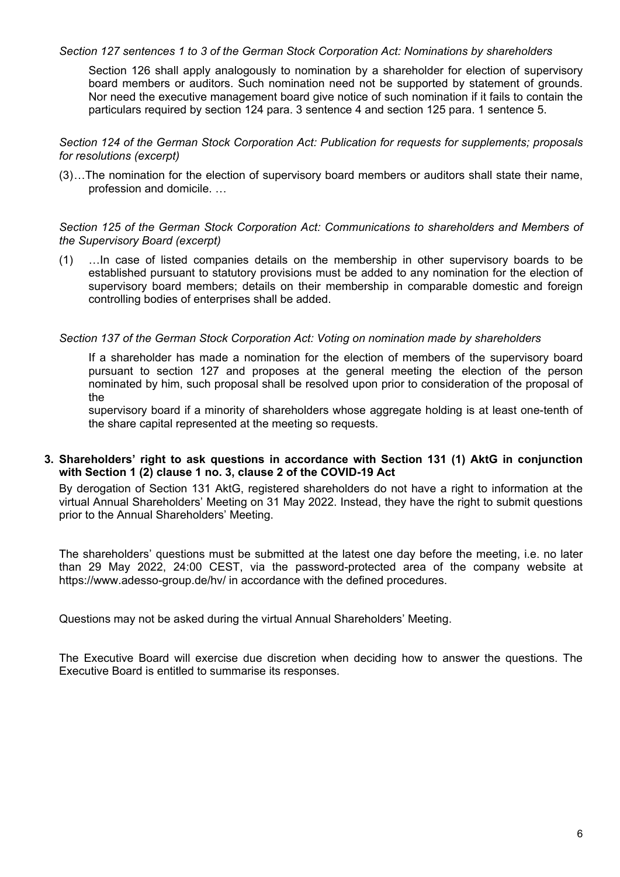#### *Section 127 sentences 1 to 3 of the German Stock Corporation Act: Nominations by shareholders*

Section 126 shall apply analogously to nomination by a shareholder for election of supervisory board members or auditors. Such nomination need not be supported by statement of grounds. Nor need the executive management board give notice of such nomination if it fails to contain the particulars required by section 124 para. 3 sentence 4 and section 125 para. 1 sentence 5.

*Section 124 of the German Stock Corporation Act: Publication for requests for supplements; proposals for resolutions (excerpt)*

(3) …The nomination for the election of supervisory board members or auditors shall state their name, profession and domicile. …

#### *Section 125 of the German Stock Corporation Act: Communications to shareholders and Members of the Supervisory Board (excerpt)*

(1) …In case of listed companies details on the membership in other supervisory boards to be established pursuant to statutory provisions must be added to any nomination for the election of supervisory board members; details on their membership in comparable domestic and foreign controlling bodies of enterprises shall be added.

#### *Section 137 of the German Stock Corporation Act: Voting on nomination made by shareholders*

If a shareholder has made a nomination for the election of members of the supervisory board pursuant to section 127 and proposes at the general meeting the election of the person nominated by him, such proposal shall be resolved upon prior to consideration of the proposal of the

supervisory board if a minority of shareholders whose aggregate holding is at least one-tenth of the share capital represented at the meeting so requests.

#### **3. Shareholders' right to ask questions in accordance with Section 131 (1) AktG in conjunction with Section 1 (2) clause 1 no. 3, clause 2 of the COVID-19 Act**

By derogation of Section 131 AktG, registered shareholders do not have a right to information at the virtual Annual Shareholders' Meeting on 31 May 2022. Instead, they have the right to submit questions prior to the Annual Shareholders' Meeting.

The shareholders' questions must be submitted at the latest one day before the meeting, i.e. no later than 29 May 2022, 24:00 CEST, via the password-protected area of the company website at https://www.adesso-group.de/hv/ in accordance with the defined procedures.

Questions may not be asked during the virtual Annual Shareholders' Meeting.

The Executive Board will exercise due discretion when deciding how to answer the questions. The Executive Board is entitled to summarise its responses.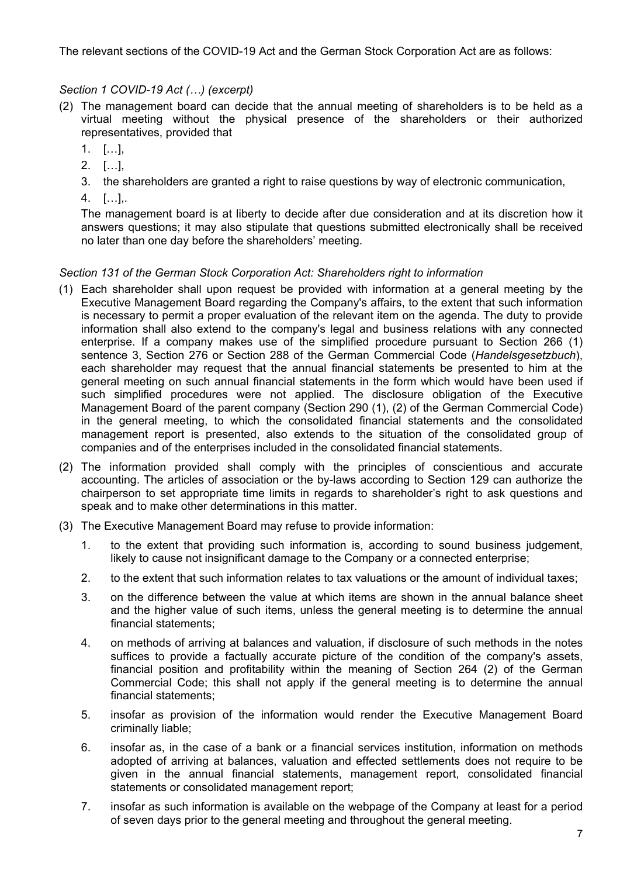The relevant sections of the COVID-19 Act and the German Stock Corporation Act are as follows:

# *Section 1 COVID-19 Act (…) (excerpt)*

- (2) The management board can decide that the annual meeting of shareholders is to be held as a virtual meeting without the physical presence of the shareholders or their authorized representatives, provided that
	- 1. […],
	- 2. […],
	- 3. the shareholders are granted a right to raise questions by way of electronic communication,
	- 4. […],.

The management board is at liberty to decide after due consideration and at its discretion how it answers questions; it may also stipulate that questions submitted electronically shall be received no later than one day before the shareholders' meeting.

# *Section 131 of the German Stock Corporation Act: Shareholders right to information*

- (1) Each shareholder shall upon request be provided with information at a general meeting by the Executive Management Board regarding the Company's affairs, to the extent that such information is necessary to permit a proper evaluation of the relevant item on the agenda. The duty to provide information shall also extend to the company's legal and business relations with any connected enterprise. If a company makes use of the simplified procedure pursuant to Section 266 (1) sentence 3, Section 276 or Section 288 of the German Commercial Code (*Handelsgesetzbuch*), each shareholder may request that the annual financial statements be presented to him at the general meeting on such annual financial statements in the form which would have been used if such simplified procedures were not applied. The disclosure obligation of the Executive Management Board of the parent company (Section 290 (1), (2) of the German Commercial Code) in the general meeting, to which the consolidated financial statements and the consolidated management report is presented, also extends to the situation of the consolidated group of companies and of the enterprises included in the consolidated financial statements.
- (2) The information provided shall comply with the principles of conscientious and accurate accounting. The articles of association or the by-laws according to Section 129 can authorize the chairperson to set appropriate time limits in regards to shareholder's right to ask questions and speak and to make other determinations in this matter.
- (3) The Executive Management Board may refuse to provide information:
	- 1. to the extent that providing such information is, according to sound business judgement, likely to cause not insignificant damage to the Company or a connected enterprise;
	- 2. to the extent that such information relates to tax valuations or the amount of individual taxes;
	- 3. on the difference between the value at which items are shown in the annual balance sheet and the higher value of such items, unless the general meeting is to determine the annual financial statements;
	- 4. on methods of arriving at balances and valuation, if disclosure of such methods in the notes suffices to provide a factually accurate picture of the condition of the company's assets. financial position and profitability within the meaning of Section 264 (2) of the German Commercial Code; this shall not apply if the general meeting is to determine the annual financial statements;
	- 5. insofar as provision of the information would render the Executive Management Board criminally liable;
	- 6. insofar as, in the case of a bank or a financial services institution, information on methods adopted of arriving at balances, valuation and effected settlements does not require to be given in the annual financial statements, management report, consolidated financial statements or consolidated management report;
	- 7. insofar as such information is available on the webpage of the Company at least for a period of seven days prior to the general meeting and throughout the general meeting.